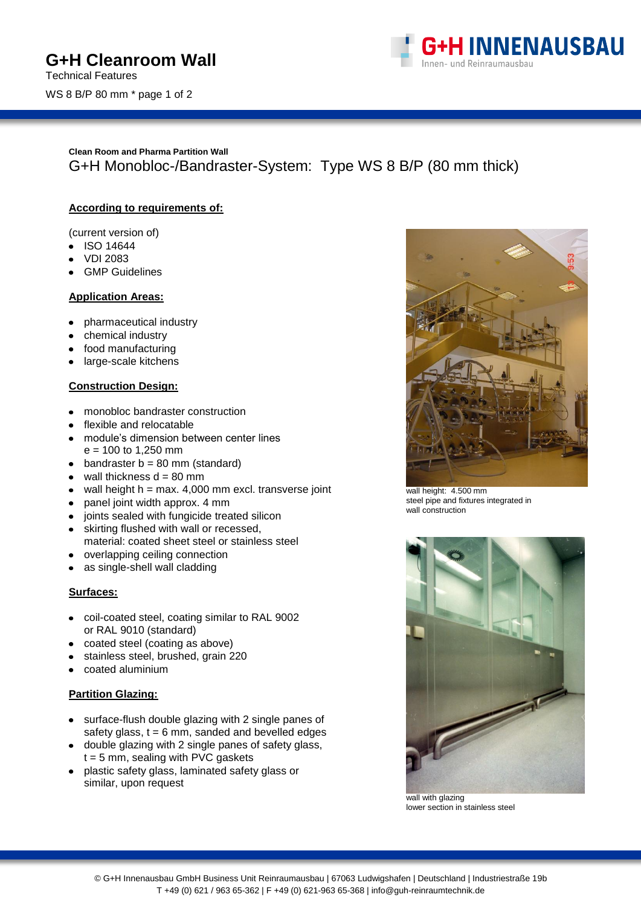WS 8 B/P 80 mm \* page 1 of 2



**Clean Room and Pharma Partition Wall** G+H Monobloc-/Bandraster-System: Type WS 8 B/P (80 mm thick)

## **According to requirements of:**

(current version of)

- ISO 14644
- VDI 2083
- GMP Guidelines

## **Application Areas:**

- pharmaceutical industry
- chemical industry
- food manufacturing
- large-scale kitchens

#### **Construction Design:**

- monobloc bandraster construction
- flexible and relocatable
- module's dimension between center lines  $e = 100$  to 1,250 mm
- $\bullet$  bandraster b = 80 mm (standard)
- $\bullet$  wall thickness  $d = 80$  mm
- wall height  $h = max. 4,000$  mm excl. transverse joint
- panel joint width approx. 4 mm  $\bullet$
- joints sealed with fungicide treated silicon
- skirting flushed with wall or recessed, material: coated sheet steel or stainless steel
- overlapping ceiling connection
- as single-shell wall cladding

## **Surfaces:**

- coil-coated steel, coating similar to RAL 9002 or RAL 9010 (standard)
- coated steel (coating as above)
- stainless steel, brushed, grain 220
- coated aluminium

## **Partition Glazing:**

- surface-flush double glazing with 2 single panes of safety glass,  $t = 6$  mm, sanded and bevelled edges
- double glazing with 2 single panes of safety glass,  $t = 5$  mm, sealing with PVC gaskets
- plastic safety glass, laminated safety glass or similar, upon request



wall height: 4.500 mm steel pipe and fixtures integrated in wall construction



wall with glazing lower section in stainless steel